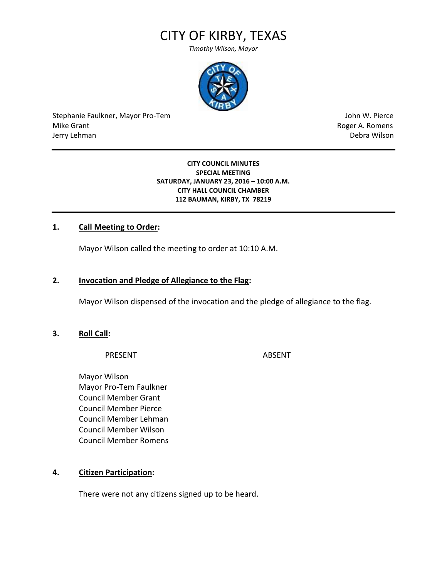# CITY OF KIRBY, TEXAS

*Timothy Wilson, Mayor*



Stephanie Faulkner, Mayor Pro-Tem John W. Pierce Mike Grant **Mike Grant** Roger A. Romens **Contract A. Romens Roger A. Romens** Jerry Lehman Debra Wilson

#### **CITY COUNCIL MINUTES SPECIAL MEETING SATURDAY, JANUARY 23, 2016 – 10:00 A.M. CITY HALL COUNCIL CHAMBER 112 BAUMAN, KIRBY, TX 78219**

## **1. Call Meeting to Order:**

Mayor Wilson called the meeting to order at 10:10 A.M.

## **2. Invocation and Pledge of Allegiance to the Flag:**

Mayor Wilson dispensed of the invocation and the pledge of allegiance to the flag.

**3. Roll Call:**

#### PRESENT ABSENT

Mayor Wilson Mayor Pro-Tem Faulkner Council Member Grant Council Member Pierce Council Member Lehman Council Member Wilson Council Member Romens

## **4. Citizen Participation:**

There were not any citizens signed up to be heard.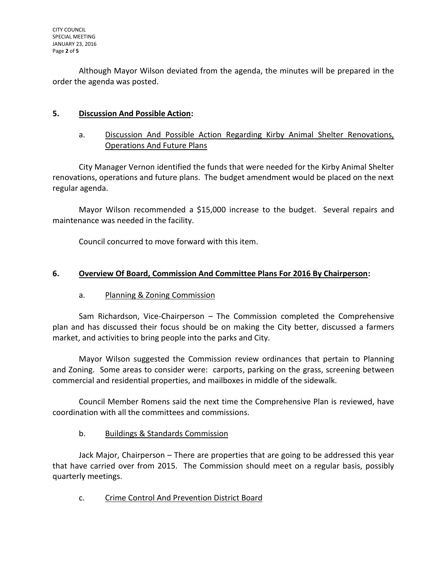Although Mayor Wilson deviated from the agenda, the minutes will be prepared in the order the agenda was posted.

# **5. Discussion And Possible Action:**

a. Discussion And Possible Action Regarding Kirby Animal Shelter Renovations, Operations And Future Plans

City Manager Vernon identified the funds that were needed for the Kirby Animal Shelter renovations, operations and future plans. The budget amendment would be placed on the next regular agenda.

Mayor Wilson recommended a \$15,000 increase to the budget. Several repairs and maintenance was needed in the facility.

Council concurred to move forward with this item.

## **6. Overview Of Board, Commission And Committee Plans For 2016 By Chairperson:**

## a. Planning & Zoning Commission

Sam Richardson, Vice-Chairperson – The Commission completed the Comprehensive plan and has discussed their focus should be on making the City better, discussed a farmers market, and activities to bring people into the parks and City.

Mayor Wilson suggested the Commission review ordinances that pertain to Planning and Zoning. Some areas to consider were: carports, parking on the grass, screening between commercial and residential properties, and mailboxes in middle of the sidewalk.

Council Member Romens said the next time the Comprehensive Plan is reviewed, have coordination with all the committees and commissions.

## b. Buildings & Standards Commission

Jack Major, Chairperson – There are properties that are going to be addressed this year that have carried over from 2015. The Commission should meet on a regular basis, possibly quarterly meetings.

c. Crime Control And Prevention District Board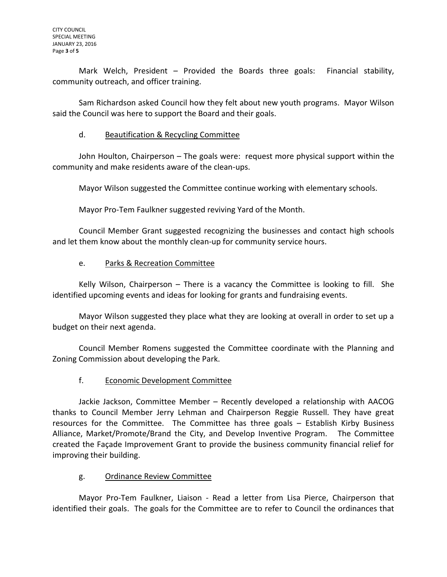Mark Welch, President – Provided the Boards three goals: Financial stability, community outreach, and officer training.

Sam Richardson asked Council how they felt about new youth programs. Mayor Wilson said the Council was here to support the Board and their goals.

## d. Beautification & Recycling Committee

John Houlton, Chairperson – The goals were: request more physical support within the community and make residents aware of the clean-ups.

Mayor Wilson suggested the Committee continue working with elementary schools.

Mayor Pro-Tem Faulkner suggested reviving Yard of the Month.

Council Member Grant suggested recognizing the businesses and contact high schools and let them know about the monthly clean-up for community service hours.

## e. Parks & Recreation Committee

Kelly Wilson, Chairperson – There is a vacancy the Committee is looking to fill. She identified upcoming events and ideas for looking for grants and fundraising events.

Mayor Wilson suggested they place what they are looking at overall in order to set up a budget on their next agenda.

Council Member Romens suggested the Committee coordinate with the Planning and Zoning Commission about developing the Park.

## f. Economic Development Committee

Jackie Jackson, Committee Member – Recently developed a relationship with AACOG thanks to Council Member Jerry Lehman and Chairperson Reggie Russell. They have great resources for the Committee. The Committee has three goals – Establish Kirby Business Alliance, Market/Promote/Brand the City, and Develop Inventive Program. The Committee created the Façade Improvement Grant to provide the business community financial relief for improving their building.

## g. Ordinance Review Committee

Mayor Pro-Tem Faulkner, Liaison - Read a letter from Lisa Pierce, Chairperson that identified their goals. The goals for the Committee are to refer to Council the ordinances that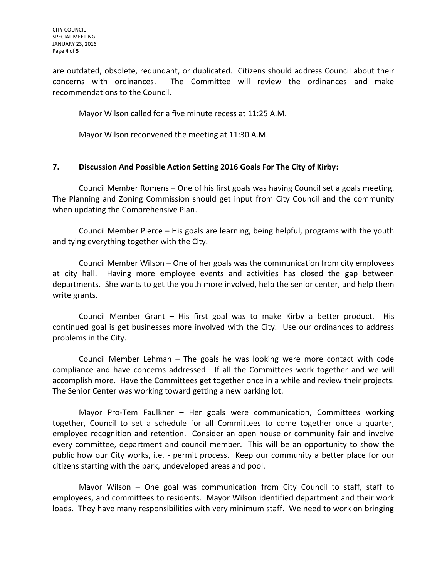are outdated, obsolete, redundant, or duplicated. Citizens should address Council about their concerns with ordinances. The Committee will review the ordinances and make recommendations to the Council.

Mayor Wilson called for a five minute recess at 11:25 A.M.

Mayor Wilson reconvened the meeting at 11:30 A.M.

## **7. Discussion And Possible Action Setting 2016 Goals For The City of Kirby:**

Council Member Romens – One of his first goals was having Council set a goals meeting. The Planning and Zoning Commission should get input from City Council and the community when updating the Comprehensive Plan.

Council Member Pierce – His goals are learning, being helpful, programs with the youth and tying everything together with the City.

Council Member Wilson – One of her goals was the communication from city employees at city hall. Having more employee events and activities has closed the gap between departments. She wants to get the youth more involved, help the senior center, and help them write grants.

Council Member Grant – His first goal was to make Kirby a better product. His continued goal is get businesses more involved with the City. Use our ordinances to address problems in the City.

Council Member Lehman – The goals he was looking were more contact with code compliance and have concerns addressed. If all the Committees work together and we will accomplish more. Have the Committees get together once in a while and review their projects. The Senior Center was working toward getting a new parking lot.

Mayor Pro-Tem Faulkner – Her goals were communication, Committees working together, Council to set a schedule for all Committees to come together once a quarter, employee recognition and retention. Consider an open house or community fair and involve every committee, department and council member. This will be an opportunity to show the public how our City works, i.e. - permit process. Keep our community a better place for our citizens starting with the park, undeveloped areas and pool.

Mayor Wilson – One goal was communication from City Council to staff, staff to employees, and committees to residents. Mayor Wilson identified department and their work loads. They have many responsibilities with very minimum staff. We need to work on bringing